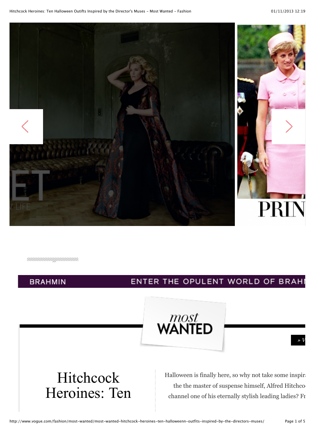

чинининдинини.

**BRAHMIN** 

#### ENTER THE OPULENT WORLD OF BRAHI



# Hitchcock Heroines: Ten

Halloween is finally here, so why not take some inspiration the the master of suspense himself, Alfred Hitchco channel one of his eternally stylish leading ladies? Fr

 $\rightarrow V$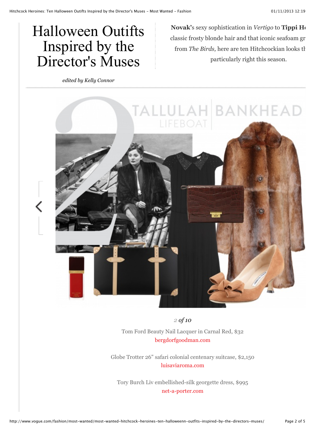## Halloween Outifts Inspired by the Director's Muses

*edited by Kelly Connor*

**Novak'**s sexy sophistication in *Vertigo* to **Tippi Hedren'** classic frosty blonde hair and that iconic seafoam gr from *The Birds*, here are ten Hitchcockian looks that particularly right this season.



*2 of 10*

Tom Ford Beauty Nail Lacquer in Carnal Red, \$32 [bergdorfgoodman.com](http://rstyle.me/n/cjt87nz56)

Globe Trotter 26" safari colonial centenary suitcase, \$2,150 [luisaviaroma.com](http://rstyle.me/n/cjucnnz56)

Tory Burch Liv embellished-silk georgette dress, \$995 [net-a-porter.com](http://rstyle.me/n/b82uknz56)